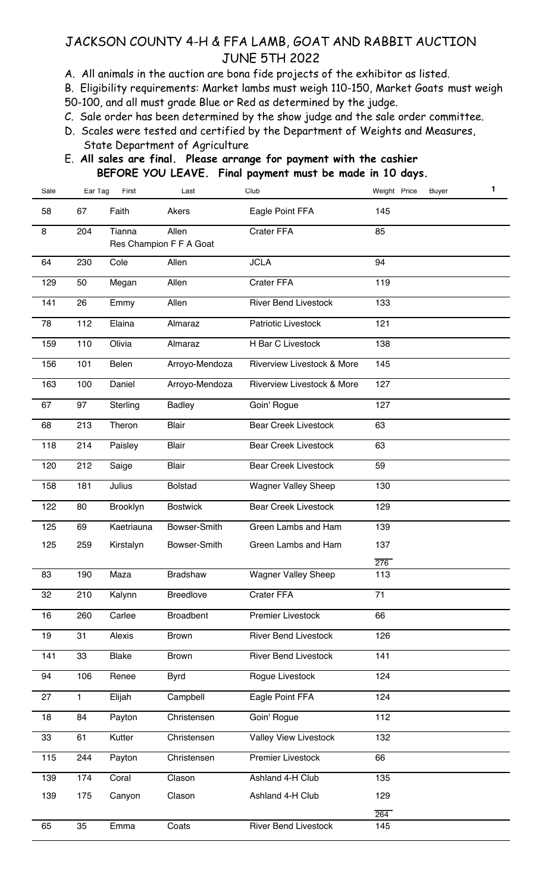## JACKSON COUNTY 4-H & FFA LAMB, GOAT AND RABBIT AUCTION JUNE 5TH 2022

A. All animals in the auction are bona fide projects of the exhibitor as listed.

B. Eligibility requirements: Market lambs must weigh 110-150, Market Goats must weigh 50-100, and all must grade Blue or Red as determined by the judge.

C. Sale order has been determined by the show judge and the sale order committee.

- D. Scales were tested and certified by the Department of Weights and Measures, State Department of Agriculture
- E. **All sales are final. Please arrange for payment with the cashier BEFORE YOU LEAVE. Final payment must be made in 10 days.**

| Sale | Ear Tag | First        | Last                             | Club                                  | $\mathbf{1}$<br>Weight Price<br><b>Buyer</b> |
|------|---------|--------------|----------------------------------|---------------------------------------|----------------------------------------------|
| 58   | 67      | Faith        | Akers                            | Eagle Point FFA                       | 145                                          |
| 8    | 204     | Tianna       | Allen<br>Res Champion F F A Goat | Crater FFA                            | 85                                           |
| 64   | 230     | Cole         | Allen                            | <b>JCLA</b>                           | 94                                           |
| 129  | 50      | Megan        | Allen                            | <b>Crater FFA</b>                     | 119                                          |
| 141  | 26      | Emmy         | Allen                            | <b>River Bend Livestock</b>           | 133                                          |
| 78   | 112     | Elaina       | Almaraz                          | Patriotic Livestock                   | 121                                          |
| 159  | 110     | Olivia       | Almaraz                          | H Bar C Livestock                     | 138                                          |
| 156  | 101     | Belen        | Arroyo-Mendoza                   | <b>Riverview Livestock &amp; More</b> | 145                                          |
| 163  | 100     | Daniel       | Arroyo-Mendoza                   | Riverview Livestock & More            | 127                                          |
| 67   | 97      | Sterling     | <b>Badley</b>                    | Goin' Rogue                           | 127                                          |
| 68   | 213     | Theron       | <b>Blair</b>                     | <b>Bear Creek Livestock</b>           | 63                                           |
| 118  | 214     | Paisley      | <b>Blair</b>                     | <b>Bear Creek Livestock</b>           | 63                                           |
| 120  | 212     | Saige        | <b>Blair</b>                     | <b>Bear Creek Livestock</b>           | 59                                           |
| 158  | 181     | Julius       | <b>Bolstad</b>                   | <b>Wagner Valley Sheep</b>            | 130                                          |
| 122  | 80      | Brooklyn     | <b>Bostwick</b>                  | <b>Bear Creek Livestock</b>           | 129                                          |
| 125  | 69      | Kaetriauna   | Bowser-Smith                     | Green Lambs and Ham                   | 139                                          |
| 125  | 259     | Kirstalyn    | Bowser-Smith                     | Green Lambs and Ham                   | 137                                          |
| 83   | 190     | Maza         | <b>Bradshaw</b>                  | <b>Wagner Valley Sheep</b>            | 276<br>113                                   |
|      |         |              |                                  |                                       |                                              |
| 32   | 210     | Kalynn       | <b>Breedlove</b>                 | Crater FFA                            | 71                                           |
| 16   | 260     | Carlee       | <b>Broadbent</b>                 | <b>Premier Livestock</b>              | 66                                           |
| 19   | 31      | Alexis       | <b>Brown</b>                     | <b>River Bend Livestock</b>           | 126                                          |
| 141  | 33      | <b>Blake</b> | <b>Brown</b>                     | <b>River Bend Livestock</b>           | 141                                          |
| 94   | 106     | Renee        | <b>Byrd</b>                      | Rogue Livestock                       | 124                                          |
| 27   | 1       | Elijah       | Campbell                         | Eagle Point FFA                       | 124                                          |
| 18   | 84      | Payton       | Christensen                      | Goin' Rogue                           | 112                                          |
| 33   | 61      | Kutter       | Christensen                      | Valley View Livestock                 | 132                                          |
| 115  | 244     | Payton       | Christensen                      | <b>Premier Livestock</b>              | 66                                           |
| 139  | 174     | Coral        | Clason                           | Ashland 4-H Club                      | 135                                          |
| 139  | 175     | Canyon       | Clason                           | Ashland 4-H Club                      | 129                                          |
|      |         |              |                                  |                                       | 264                                          |
| 65   | 35      | Emma         | Coats                            | <b>River Bend Livestock</b>           | 145                                          |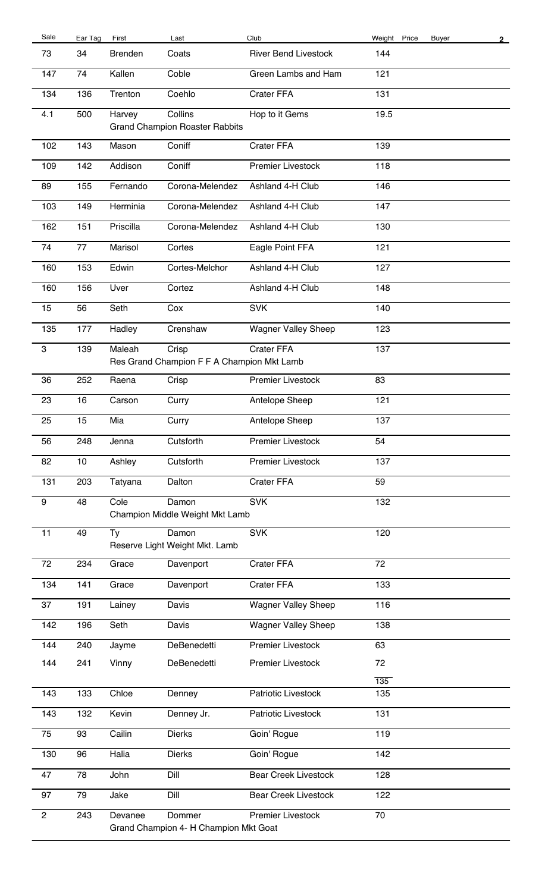| Sale                      | Ear Tag | First          | Last                                                | Club                        | Weight Price | <b>Buyer</b> | $\overline{2}$ |
|---------------------------|---------|----------------|-----------------------------------------------------|-----------------------------|--------------|--------------|----------------|
| 73                        | 34      | <b>Brenden</b> | Coats                                               | <b>River Bend Livestock</b> | 144          |              |                |
| 147                       | 74      | Kallen         | Coble                                               | Green Lambs and Ham         | 121          |              |                |
| 134                       | 136     | Trenton        | Coehlo                                              | Crater FFA                  | 131          |              |                |
| 4.1                       | 500     | Harvey         | Collins<br><b>Grand Champion Roaster Rabbits</b>    | Hop to it Gems              | 19.5         |              |                |
| 102                       | 143     | Mason          | Coniff                                              | <b>Crater FFA</b>           | 139          |              |                |
| 109                       | 142     | Addison        | Coniff                                              | <b>Premier Livestock</b>    | 118          |              |                |
| 89                        | 155     | Fernando       | Corona-Melendez                                     | Ashland 4-H Club            | 146          |              |                |
| 103                       | 149     | Herminia       | Corona-Melendez                                     | Ashland 4-H Club            | 147          |              |                |
| 162                       | 151     | Priscilla      | Corona-Melendez                                     | Ashland 4-H Club            | 130          |              |                |
| 74                        | 77      | Marisol        | Cortes                                              | Eagle Point FFA             | 121          |              |                |
| 160                       | 153     | Edwin          | Cortes-Melchor                                      | Ashland 4-H Club            | 127          |              |                |
| 160                       | 156     | Uver           | Cortez                                              | Ashland 4-H Club            | 148          |              |                |
| 15                        | 56      | Seth           | Cox                                                 | <b>SVK</b>                  | 140          |              |                |
| 135                       | 177     | Hadley         | Crenshaw                                            | <b>Wagner Valley Sheep</b>  | 123          |              |                |
| $\ensuremath{\mathsf{3}}$ | 139     | Maleah         | Crisp<br>Res Grand Champion F F A Champion Mkt Lamb | Crater FFA                  | 137          |              |                |
| 36                        | 252     | Raena          | Crisp                                               | <b>Premier Livestock</b>    | 83           |              |                |
| 23                        | 16      | Carson         | Curry                                               | Antelope Sheep              | 121          |              |                |
| 25                        | 15      | Mia            | Curry                                               | Antelope Sheep              | 137          |              |                |
| 56                        | 248     | Jenna          | Cutsforth                                           | <b>Premier Livestock</b>    | 54           |              |                |
| 82                        | 10      | Ashley         | Cutsforth                                           | <b>Premier Livestock</b>    | 137          |              |                |
| 131                       | 203     | Tatyana        | Dalton                                              | Crater FFA                  | 59           |              |                |
| 9                         | 48      | Cole           | Damon<br>Champion Middle Weight Mkt Lamb            | <b>SVK</b>                  | 132          |              |                |
| 11                        | 49      | <b>Ty</b>      | Damon<br>Reserve Light Weight Mkt. Lamb             | <b>SVK</b>                  | 120          |              |                |
| 72                        | 234     | Grace          | Davenport                                           | Crater FFA                  | 72           |              |                |
| 134                       | 141     | Grace          | Davenport                                           | Crater FFA                  | 133          |              |                |
| 37                        | 191     | Lainey         | Davis                                               | <b>Wagner Valley Sheep</b>  | 116          |              |                |
| 142                       | 196     | Seth           | Davis                                               | <b>Wagner Valley Sheep</b>  | 138          |              |                |
| 144                       | 240     | Jayme          | DeBenedetti                                         | <b>Premier Livestock</b>    | 63           |              |                |
| 144                       | 241     | Vinny          | DeBenedetti                                         | <b>Premier Livestock</b>    | 72           |              |                |
| 143                       | 133     | Chloe          | Denney                                              | Patriotic Livestock         | 135<br>135   |              |                |
| 143                       | 132     | Kevin          | Denney Jr.                                          | Patriotic Livestock         | 131          |              |                |
| 75                        | 93      | Cailin         | <b>Dierks</b>                                       | Goin' Rogue                 | 119          |              |                |
| 130                       | 96      | Halia          | <b>Dierks</b>                                       | Goin' Rogue                 | 142          |              |                |
| 47                        | 78      | John           | Dill                                                | <b>Bear Creek Livestock</b> | 128          |              |                |
| 97                        | 79      | Jake           | Dill                                                | <b>Bear Creek Livestock</b> | 122          |              |                |
| $\mathbf{2}$              | 243     | Devanee        | Dommer                                              | <b>Premier Livestock</b>    | 70           |              |                |
|                           |         |                | Grand Champion 4- H Champion Mkt Goat               |                             |              |              |                |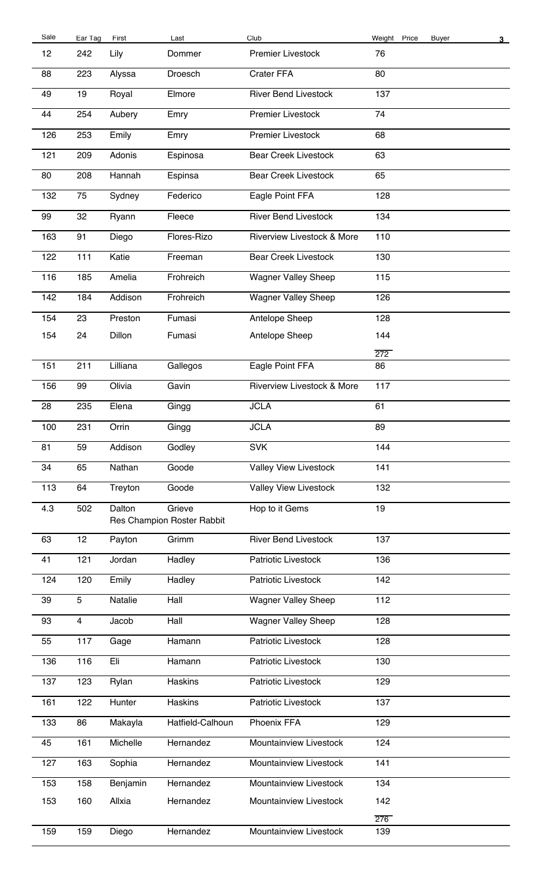| Sale | Ear Tag | First    | Last                                 | Club                         | Weight Price | <b>Buyer</b> | $\overline{3}$ |
|------|---------|----------|--------------------------------------|------------------------------|--------------|--------------|----------------|
| 12   | 242     | Lily     | Dommer                               | <b>Premier Livestock</b>     | 76           |              |                |
| 88   | 223     | Alyssa   | Droesch                              | Crater FFA                   | 80           |              |                |
| 49   | 19      | Royal    | Elmore                               | <b>River Bend Livestock</b>  | 137          |              |                |
| 44   | 254     | Aubery   | Emry                                 | <b>Premier Livestock</b>     | 74           |              |                |
| 126  | 253     | Emily    | Emry                                 | <b>Premier Livestock</b>     | 68           |              |                |
| 121  | 209     | Adonis   | Espinosa                             | <b>Bear Creek Livestock</b>  | 63           |              |                |
| 80   | 208     | Hannah   | Espinsa                              | <b>Bear Creek Livestock</b>  | 65           |              |                |
| 132  | 75      | Sydney   | Federico                             | Eagle Point FFA              | 128          |              |                |
| 99   | 32      | Ryann    | Fleece                               | <b>River Bend Livestock</b>  | 134          |              |                |
| 163  | 91      | Diego    | Flores-Rizo                          | Riverview Livestock & More   | 110          |              |                |
| 122  | 111     | Katie    | Freeman                              | <b>Bear Creek Livestock</b>  | 130          |              |                |
| 116  | 185     | Amelia   | Frohreich                            | <b>Wagner Valley Sheep</b>   | 115          |              |                |
| 142  | 184     | Addison  | Frohreich                            | <b>Wagner Valley Sheep</b>   | 126          |              |                |
| 154  | 23      | Preston  | Fumasi                               | Antelope Sheep               | 128          |              |                |
| 154  | 24      | Dillon   | Fumasi                               | Antelope Sheep               | 144          |              |                |
|      |         |          |                                      |                              | 272          |              |                |
| 151  | 211     | Lilliana | Gallegos                             | Eagle Point FFA              | 86           |              |                |
| 156  | 99      | Olivia   | Gavin                                | Riverview Livestock & More   | 117          |              |                |
| 28   | 235     | Elena    | Gingg                                | <b>JCLA</b>                  | 61           |              |                |
| 100  | 231     | Orrin    | Gingg                                | <b>JCLA</b>                  | 89           |              |                |
| 81   | 59      | Addison  | Godley                               | <b>SVK</b>                   | 144          |              |                |
| 34   | 65      | Nathan   | Goode                                | <b>Valley View Livestock</b> | 141          |              |                |
| 113  | 64      | Treyton  | Goode                                | <b>Valley View Livestock</b> | 132          |              |                |
| 4.3  | 502     | Dalton   | Grieve<br>Res Champion Roster Rabbit | Hop to it Gems               | 19           |              |                |
| 63   | 12      | Payton   | Grimm                                | <b>River Bend Livestock</b>  | 137          |              |                |
| 41   | 121     | Jordan   | Hadley                               | Patriotic Livestock          | 136          |              |                |
|      |         |          |                                      |                              |              |              |                |
| 124  | 120     | Emily    | Hadley                               | Patriotic Livestock          | 142          |              |                |
| 39   | 5       | Natalie  | Hall                                 | <b>Wagner Valley Sheep</b>   | 112          |              |                |
| 93   | 4       | Jacob    | Hall                                 | <b>Wagner Valley Sheep</b>   | 128          |              |                |
| 55   | 117     | Gage     | Hamann                               | Patriotic Livestock          | 128          |              |                |
| 136  | 116     | Eli      | Hamann                               | Patriotic Livestock          | 130          |              |                |
| 137  | 123     | Rylan    | Haskins                              | Patriotic Livestock          | 129          |              |                |
| 161  | 122     | Hunter   | Haskins                              | Patriotic Livestock          | 137          |              |                |
| 133  | 86      | Makayla  | Hatfield-Calhoun                     | Phoenix FFA                  | 129          |              |                |
| 45   | 161     | Michelle | Hernandez                            | Mountainview Livestock       | 124          |              |                |
| 127  | 163     | Sophia   | Hernandez                            | Mountainview Livestock       | 141          |              |                |
| 153  | 158     | Benjamin | Hernandez                            | Mountainview Livestock       | 134          |              |                |
| 153  | 160     | Allxia   | Hernandez                            | Mountainview Livestock       | 142          |              |                |
| 159  | 159     |          | Hernandez                            | Mountainview Livestock       | 276<br>139   |              |                |
|      |         | Diego    |                                      |                              |              |              |                |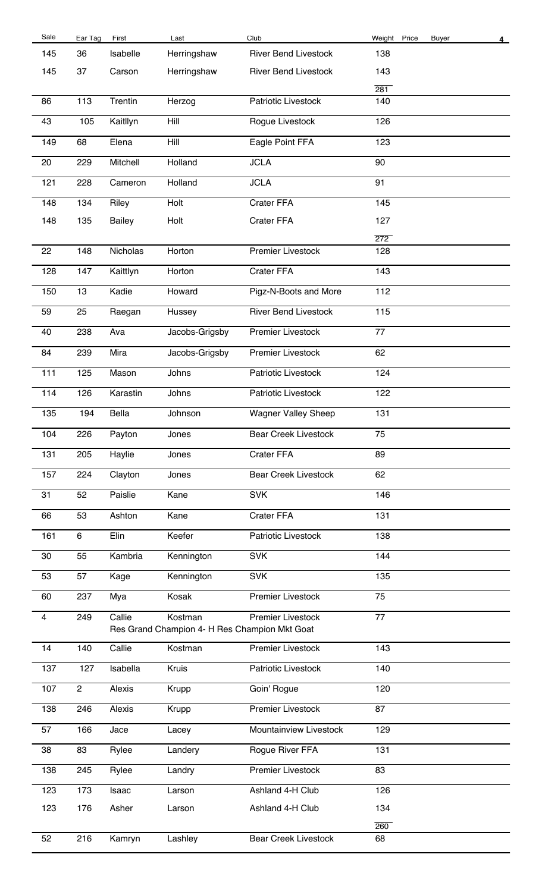| Sale | Ear Tag      | First         | Last                                                     | Club                        | Weight Price | <b>Buyer</b> | $\overline{4}$ |
|------|--------------|---------------|----------------------------------------------------------|-----------------------------|--------------|--------------|----------------|
| 145  | 36           | Isabelle      | Herringshaw                                              | <b>River Bend Livestock</b> | 138          |              |                |
| 145  | 37           | Carson        | Herringshaw                                              | <b>River Bend Livestock</b> | 143          |              |                |
|      |              |               |                                                          |                             | 281          |              |                |
| 86   | 113          | Trentin       | Herzog                                                   | Patriotic Livestock         | 140          |              |                |
| 43   | 105          | Kaitllyn      | Hill                                                     | Rogue Livestock             | 126          |              |                |
| 149  | 68           | Elena         | Hill                                                     | Eagle Point FFA             | 123          |              |                |
| 20   | 229          | Mitchell      | Holland                                                  | <b>JCLA</b>                 | 90           |              |                |
| 121  | 228          | Cameron       | Holland                                                  | <b>JCLA</b>                 | 91           |              |                |
| 148  | 134          | Riley         | Holt                                                     | Crater FFA                  | 145          |              |                |
| 148  | 135          | <b>Bailey</b> | Holt                                                     | Crater FFA                  | 127          |              |                |
|      |              |               |                                                          |                             | 272          |              |                |
| 22   | 148          | Nicholas      | Horton                                                   | <b>Premier Livestock</b>    | 128          |              |                |
| 128  | 147          | Kaittlyn      | Horton                                                   | Crater FFA                  | 143          |              |                |
| 150  | 13           | Kadie         | Howard                                                   | Pigz-N-Boots and More       | 112          |              |                |
| 59   | 25           | Raegan        | Hussey                                                   | <b>River Bend Livestock</b> | 115          |              |                |
| 40   | 238          | Ava           | Jacobs-Grigsby                                           | <b>Premier Livestock</b>    | 77           |              |                |
| 84   | 239          | Mira          | Jacobs-Grigsby                                           | <b>Premier Livestock</b>    | 62           |              |                |
| 111  | 125          | Mason         | Johns                                                    | Patriotic Livestock         | 124          |              |                |
| 114  | 126          | Karastin      | Johns                                                    | Patriotic Livestock         | 122          |              |                |
| 135  | 194          | <b>Bella</b>  | Johnson                                                  | <b>Wagner Valley Sheep</b>  | 131          |              |                |
| 104  | 226          | Payton        | Jones                                                    | <b>Bear Creek Livestock</b> | 75           |              |                |
| 131  | 205          | Haylie        | Jones                                                    | Crater FFA                  | 89           |              |                |
| 157  | 224          | Clayton       | Jones                                                    | <b>Bear Creek Livestock</b> | 62           |              |                |
| 31   | 52           | Paislie       | Kane                                                     | <b>SVK</b>                  | 146          |              |                |
| 66   | 53           | Ashton        | Kane                                                     | Crater FFA                  | 131          |              |                |
| 161  | 6            | Elin          | Keefer                                                   | Patriotic Livestock         | 138          |              |                |
| 30   | 55           | Kambria       | Kennington                                               | <b>SVK</b>                  | 144          |              |                |
| 53   | 57           | Kage          | Kennington                                               | <b>SVK</b>                  | 135          |              |                |
| 60   | 237          | Mya           | Kosak                                                    | <b>Premier Livestock</b>    | 75           |              |                |
|      |              |               |                                                          |                             |              |              |                |
| 4    | 249          | Callie        | Kostman<br>Res Grand Champion 4- H Res Champion Mkt Goat | <b>Premier Livestock</b>    | 77           |              |                |
| 14   | 140          | Callie        | Kostman                                                  | <b>Premier Livestock</b>    | 143          |              |                |
| 137  | 127          | Isabella      | Kruis                                                    | Patriotic Livestock         | 140          |              |                |
| 107  | $\mathbf{2}$ | Alexis        | Krupp                                                    | Goin' Rogue                 | 120          |              |                |
| 138  | 246          | Alexis        | Krupp                                                    | <b>Premier Livestock</b>    | 87           |              |                |
| 57   | 166          | Jace          | Lacey                                                    | Mountainview Livestock      | 129          |              |                |
| 38   | 83           | Rylee         | Landery                                                  | Rogue River FFA             | 131          |              |                |
| 138  | 245          | Rylee         | Landry                                                   | <b>Premier Livestock</b>    | 83           |              |                |
| 123  | 173          | Isaac         | Larson                                                   | Ashland 4-H Club            | 126          |              |                |
| 123  | 176          | Asher         | Larson                                                   | Ashland 4-H Club            | 134          |              |                |
|      |              |               |                                                          |                             | 260          |              |                |
| 52   | 216          | Kamryn        | Lashley                                                  | <b>Bear Creek Livestock</b> | 68           |              |                |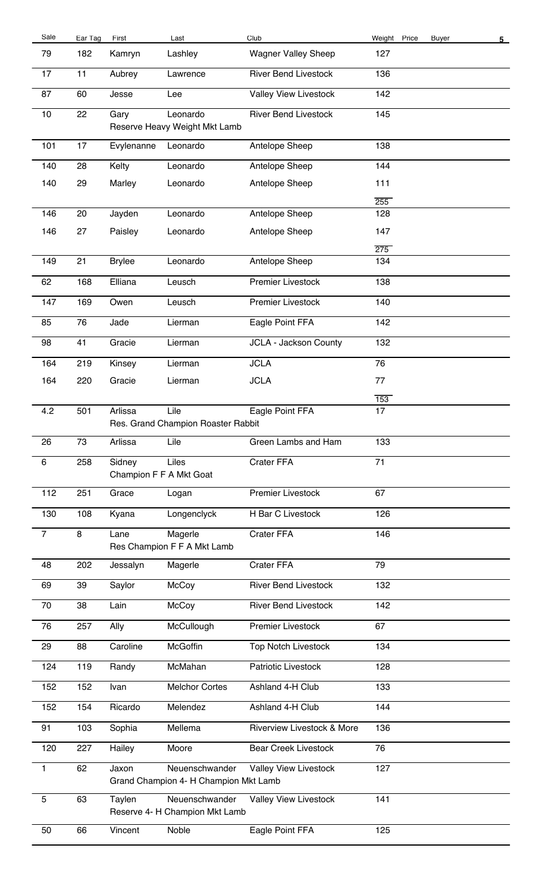| Sale           | Ear Tag | First         | Last                                                    | Club                         | Weight Price | <b>Buyer</b> | 5 <sub>1</sub> |
|----------------|---------|---------------|---------------------------------------------------------|------------------------------|--------------|--------------|----------------|
| 79             | 182     | Kamryn        | Lashley                                                 | <b>Wagner Valley Sheep</b>   | 127          |              |                |
| 17             | 11      | Aubrey        | Lawrence                                                | <b>River Bend Livestock</b>  | 136          |              |                |
| 87             | 60      | Jesse         | Lee                                                     | <b>Valley View Livestock</b> | 142          |              |                |
| 10             | 22      | Gary          | Leonardo                                                | <b>River Bend Livestock</b>  | 145          |              |                |
|                |         |               | Reserve Heavy Weight Mkt Lamb                           |                              |              |              |                |
| 101            | 17      | Evylenanne    | Leonardo                                                | Antelope Sheep               | 138          |              |                |
| 140            | 28      | Kelty         | Leonardo                                                | Antelope Sheep               | 144          |              |                |
| 140            | 29      | Marley        | Leonardo                                                | Antelope Sheep               | 111          |              |                |
| 146            | 20      | Jayden        | Leonardo                                                | Antelope Sheep               | 255<br>128   |              |                |
| 146            | 27      | Paisley       | Leonardo                                                | Antelope Sheep               | 147          |              |                |
|                |         |               |                                                         |                              | 275          |              |                |
| 149            | 21      | <b>Brylee</b> | Leonardo                                                | Antelope Sheep               | 134          |              |                |
| 62             | 168     | Elliana       | Leusch                                                  | <b>Premier Livestock</b>     | 138          |              |                |
| 147            | 169     | Owen          | Leusch                                                  | <b>Premier Livestock</b>     | 140          |              |                |
| 85             | 76      | Jade          | Lierman                                                 | Eagle Point FFA              | 142          |              |                |
| 98             | 41      | Gracie        | Lierman                                                 | JCLA - Jackson County        | 132          |              |                |
| 164            | 219     | Kinsey        | Lierman                                                 | <b>JCLA</b>                  | 76           |              |                |
| 164            | 220     | Gracie        | Lierman                                                 | <b>JCLA</b>                  | 77           |              |                |
|                |         |               |                                                         |                              | 153          |              |                |
| 4.2            | 501     | Arlissa       | Lile<br>Res. Grand Champion Roaster Rabbit              | Eagle Point FFA              | 17           |              |                |
| 26             | 73      | Arlissa       | Lile                                                    | Green Lambs and Ham          | 133          |              |                |
| 6              | 258     | Sidney        | Liles<br>Champion F F A Mkt Goat                        | Crater FFA                   | 71           |              |                |
| 112            | 251     | Grace         | Logan                                                   | <b>Premier Livestock</b>     | 67           |              |                |
| 130            | 108     | Kyana         | Longenclyck                                             | H Bar C Livestock            | 126          |              |                |
| $\overline{7}$ | 8       | Lane          | Magerle                                                 | Crater FFA                   | 146          |              |                |
|                |         |               | Res Champion F F A Mkt Lamb                             |                              |              |              |                |
| 48             | 202     | Jessalyn      | Magerle                                                 | Crater FFA                   | 79           |              |                |
| 69             | 39      | Saylor        | McCoy                                                   | <b>River Bend Livestock</b>  | 132          |              |                |
| 70             | 38      | Lain          | McCoy                                                   | <b>River Bend Livestock</b>  | 142          |              |                |
| 76             | 257     | Ally          | McCullough                                              | <b>Premier Livestock</b>     | 67           |              |                |
| 29             | 88      | Caroline      | McGoffin                                                | <b>Top Notch Livestock</b>   | 134          |              |                |
| 124            | 119     | Randy         | McMahan                                                 | Patriotic Livestock          | 128          |              |                |
| 152            | 152     | Ivan          | <b>Melchor Cortes</b>                                   | Ashland 4-H Club             | 133          |              |                |
| 152            | 154     | Ricardo       | Melendez                                                | Ashland 4-H Club             | 144          |              |                |
| 91             | 103     | Sophia        | Mellema                                                 | Riverview Livestock & More   | 136          |              |                |
| 120            | 227     | Hailey        | Moore                                                   | <b>Bear Creek Livestock</b>  | 76           |              |                |
| 1              | 62      | Jaxon         | Neuenschwander<br>Grand Champion 4- H Champion Mkt Lamb | <b>Valley View Livestock</b> | 127          |              |                |
| $\overline{5}$ | 63      | Taylen        | Neuenschwander<br>Reserve 4- H Champion Mkt Lamb        | <b>Valley View Livestock</b> | 141          |              |                |
| 50             | 66      | Vincent       | Noble                                                   | Eagle Point FFA              | 125          |              |                |
|                |         |               |                                                         |                              |              |              |                |